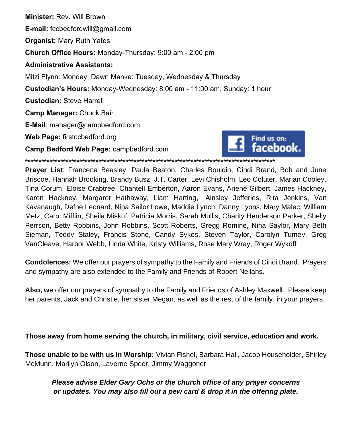**Minister:** Rev. Will Brown **E-mail:** fccbedfordwill@gmail.com **Organist:** Mary Ruth Yates **Church Office Hours:** Monday-Thursday: 9:00 am - 2:00 pm **Administrative Assistants:** Mitzi Flynn: Monday, Dawn Manke: Tuesday, Wednesday & Thursday **Custodian's Hours:** Monday-Wednesday: 8:00 am - 11:00 am, Sunday: 1 hour **Custodian:** Steve Harrell **Camp Manager:** Chuck Bair **E-Mail**: manager@campbedford.com **Web Page:** firstccbedford.org Find us on: acebook. **Camp Bedford Web Page:** campbedford.com \*\*\*\*\*\*\*\*\*\*\*\*\*\*\*\*\*\*\*\*\*\*\*\*\*\*\*\*\*\*\*\*\*\*\*\*\*\*\*\*\*\*\*\*\*\*\*\*\*\*\*\*\*\*\*\*\*\*\*\*\*\*\*\*\*\*\*\*\*\*\*\*\*\*\*\*\*\*\*\*\*\*\*\*\*\*\*\*\*\*\*\*

**Prayer List**: Francena Beasley, Paula Beaton, Charles Bouldin, Cindi Brand, Bob and June Briscoe, Hannah Brooking, Brandy Busz, J.T. Carter, Levi Chisholm, Leo Coluter, Marian Cooley, Tina Corum, Eloise Crabtree, Chantell Emberton, Aaron Evans, Ariene Gilbert, James Hackney, Karen Hackney, Margaret Hathaway, Liam Harting, Ainsley Jefferies, Rita Jenkins, Van Kavanaugh, Defne Leonard, Nina Sailor Lowe, Maddie Lynch, Danny Lyons, Mary Malec, William Metz, Carol Mifflin, Sheila Miskuf, Patricia Morris, Sarah Mullis, Charity Henderson Parker, Shelly Perrson, Betty Robbins, John Robbins, Scott Roberts, Gregg Romine, Nina Saylor, Mary Beth Sieman, Teddy Staley, Francis Stone, Candy Sykes, Steven Taylor, Carolyn Tumey, Greg VanCleave, Harbor Webb, Linda White, Kristy Williams, Rose Mary Wray, Roger Wykoff

**Condolences:** We offer our prayers of sympathy to the Family and Friends of Cindi Brand. Prayers and sympathy are also extended to the Family and Friends of Robert Nellans.

**Also, w**e offer our prayers of sympathy to the Family and Friends of Ashley Maxwell. Please keep her parents, Jack and Christie, her sister Megan, as well as the rest of the family, in your prayers.

**Those away from home serving the church, in military, civil service, education and work.**

**Those unable to be with us in Worship:** Vivian Fishel, Barbara Hall, Jacob Householder, Shirley McMunn, Marilyn Olson, Laverne Speer, Jimmy Waggoner.

*Please advise Elder Gary Ochs or the church office of any prayer concerns or updates. You may also fill out a pew card & drop it in the offering plate.*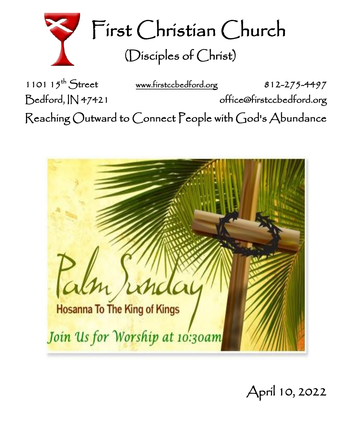

First Christian Church (Disciples of Christ)

1101  $15^{th}$  Street [www.firstccbedford.org](http://www.firstccbedford.org/) 812-275-4497 Bedford, IN 47421 office@firstccbedford.org Reaching Outward to Connect People with God's Abundance



April 10, 2022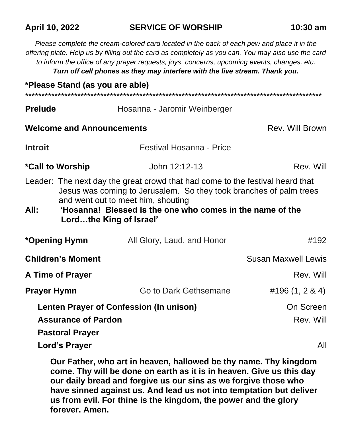#### **April 10, 2022 SERVICE OF WORSHIP 10:30 am**

*Please complete the cream-colored card located in the back of each pew and place it in the offering plate. Help us by filling out the card as completely as you can. You may also use the card to inform the office of any prayer requests, joys, concerns, upcoming events, changes, etc. Turn off cell phones as they may interfere with the live stream. Thank you.*

|                                         | *Please Stand (as you are able)                                                                                                                                                                                                                                                   |                              |                            |  |
|-----------------------------------------|-----------------------------------------------------------------------------------------------------------------------------------------------------------------------------------------------------------------------------------------------------------------------------------|------------------------------|----------------------------|--|
| <b>Prelude</b>                          |                                                                                                                                                                                                                                                                                   | Hosanna - Jaromir Weinberger |                            |  |
|                                         | <b>Welcome and Announcements</b>                                                                                                                                                                                                                                                  | Rev. Will Brown              |                            |  |
| <b>Introit</b>                          |                                                                                                                                                                                                                                                                                   | Festival Hosanna - Price     |                            |  |
|                                         | <i><b>*Call to Worship</b></i>                                                                                                                                                                                                                                                    | John 12:12-13                | Rev. Will                  |  |
| All:                                    | Leader: The next day the great crowd that had come to the festival heard that<br>Jesus was coming to Jerusalem. So they took branches of palm trees<br>and went out to meet him, shouting<br>'Hosanna! Blessed is the one who comes in the name of the<br>Lordthe King of Israel' |                              |                            |  |
|                                         | *Opening Hymn                                                                                                                                                                                                                                                                     | All Glory, Laud, and Honor   | #192                       |  |
| <b>Children's Moment</b>                |                                                                                                                                                                                                                                                                                   |                              | <b>Susan Maxwell Lewis</b> |  |
| <b>A Time of Prayer</b>                 |                                                                                                                                                                                                                                                                                   |                              | Rev. Will                  |  |
| <b>Prayer Hymn</b>                      |                                                                                                                                                                                                                                                                                   | Go to Dark Gethsemane        | #196 $(1, 2 \& 4)$         |  |
| Lenten Prayer of Confession (In unison) |                                                                                                                                                                                                                                                                                   |                              | On Screen                  |  |
| <b>Assurance of Pardon</b>              |                                                                                                                                                                                                                                                                                   |                              | Rev. Will                  |  |
|                                         | <b>Pastoral Prayer</b>                                                                                                                                                                                                                                                            |                              |                            |  |
|                                         | <b>Lord's Prayer</b>                                                                                                                                                                                                                                                              |                              | All                        |  |

**Our Father, who art in heaven, hallowed be thy name. Thy kingdom come. Thy will be done on earth as it is in heaven. Give us this day our daily bread and forgive us our sins as we forgive those who have sinned against us. And lead us not into temptation but deliver us from evil. For thine is the kingdom, the power and the glory forever. Amen.**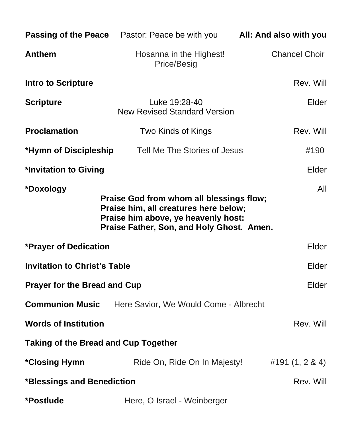|                                                                                                                                                                                           | <b>Passing of the Peace</b> Pastor: Peace be with you <b>All: And also with you</b> |                      |  |  |  |
|-------------------------------------------------------------------------------------------------------------------------------------------------------------------------------------------|-------------------------------------------------------------------------------------|----------------------|--|--|--|
| Anthem                                                                                                                                                                                    | Hosanna in the Highest!<br>Price/Besig                                              | <b>Chancel Choir</b> |  |  |  |
| <b>Intro to Scripture</b>                                                                                                                                                                 |                                                                                     | Rev. Will            |  |  |  |
| <b>Scripture</b>                                                                                                                                                                          | Luke 19:28-40<br><b>New Revised Standard Version</b>                                | Elder                |  |  |  |
| <b>Proclamation</b>                                                                                                                                                                       | Two Kinds of Kings                                                                  | Rev. Will            |  |  |  |
| *Hymn of Discipleship                                                                                                                                                                     | Tell Me The Stories of Jesus                                                        | #190                 |  |  |  |
| *Invitation to Giving<br>Elder                                                                                                                                                            |                                                                                     |                      |  |  |  |
| *Doxology<br>All<br>Praise God from whom all blessings flow;<br>Praise him, all creatures here below;<br>Praise him above, ye heavenly host:<br>Praise Father, Son, and Holy Ghost. Amen. |                                                                                     |                      |  |  |  |
| <b>*Prayer of Dedication</b>                                                                                                                                                              |                                                                                     | Elder                |  |  |  |
| <b>Invitation to Christ's Table</b>                                                                                                                                                       | Elder                                                                               |                      |  |  |  |
| <b>Prayer for the Bread and Cup</b>                                                                                                                                                       |                                                                                     |                      |  |  |  |
| <b>Communion Music</b>                                                                                                                                                                    | Here Savior, We Would Come - Albrecht                                               |                      |  |  |  |
| <b>Words of Institution</b>                                                                                                                                                               |                                                                                     | Rev. Will            |  |  |  |
| <b>Taking of the Bread and Cup Together</b>                                                                                                                                               |                                                                                     |                      |  |  |  |
| *Closing Hymn                                                                                                                                                                             | Ride On, Ride On In Majesty!                                                        | #191 (1, 2 & 4)      |  |  |  |
| *Blessings and Benediction<br>Rev. Will                                                                                                                                                   |                                                                                     |                      |  |  |  |
| *Postlude                                                                                                                                                                                 | Here, O Israel - Weinberger                                                         |                      |  |  |  |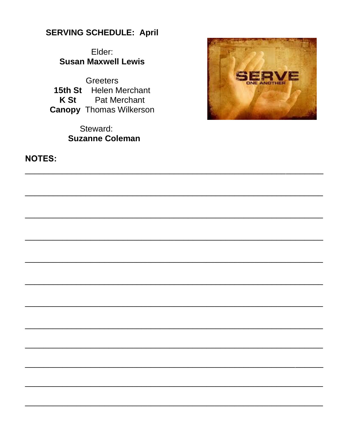### **SERVING SCHEDULE: April**

Elder: **Susan Maxwell Lewis** 

**Greeters** 15th St Helen Merchant **K St** Pat Merchant **Canopy Thomas Wilkerson** 

> Steward: **Suzanne Coleman**



**NOTES:**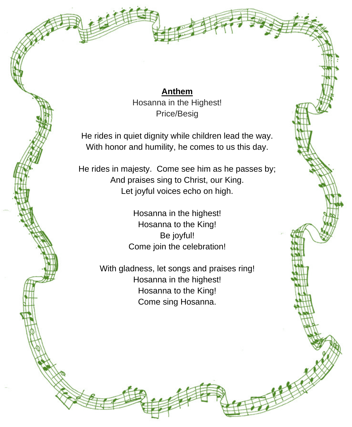**Anthem** Hosanna in the Highest! Price/Besig

He rides in quiet dignity while children lead the way. With honor and humility, he comes to us this day.

He rides in majesty. Come see him as he passes by; And praises sing to Christ, our King. Let joyful voices echo on high.

> Hosanna in the highest! Hosanna to the King! Be joyful! Come join the celebration!

With gladness, let songs and praises ring! Hosanna in the highest! Hosanna to the King! Come sing Hosanna.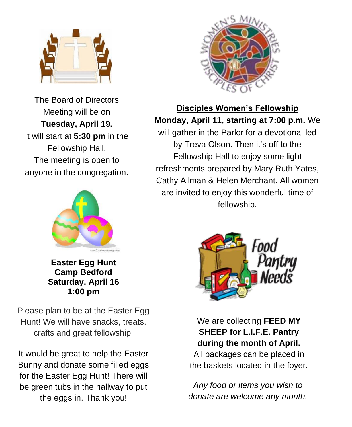

The Board of Directors Meeting will be on **Tuesday, April 19.**  It will start at **5:30 pm** in the Fellowship Hall. The meeting is open to anyone in the congregation.



**Easter Egg Hunt Camp Bedford Saturday, April 16 1:00 pm**

Please plan to be at the Easter Egg Hunt! We will have snacks, treats, crafts and great fellowship.

It would be great to help the Easter Bunny and donate some filled eggs for the Easter Egg Hunt! There will be green tubs in the hallway to put the eggs in. Thank you!



### **Disciples Women's Fellowship Monday, April 11, starting at 7:00 p.m.** We will gather in the Parlor for a devotional led by Treva Olson. Then it's off to the Fellowship Hall to enjoy some light refreshments prepared by Mary Ruth Yates, Cathy Allman & Helen Merchant. All women are invited to enjoy this wonderful time of fellowship.



We are collecting **FEED MY SHEEP for L.I.F.E. Pantry during the month of April.** 

All packages can be placed in the baskets located in the foyer.

*Any food or items you wish to donate are welcome any month.*